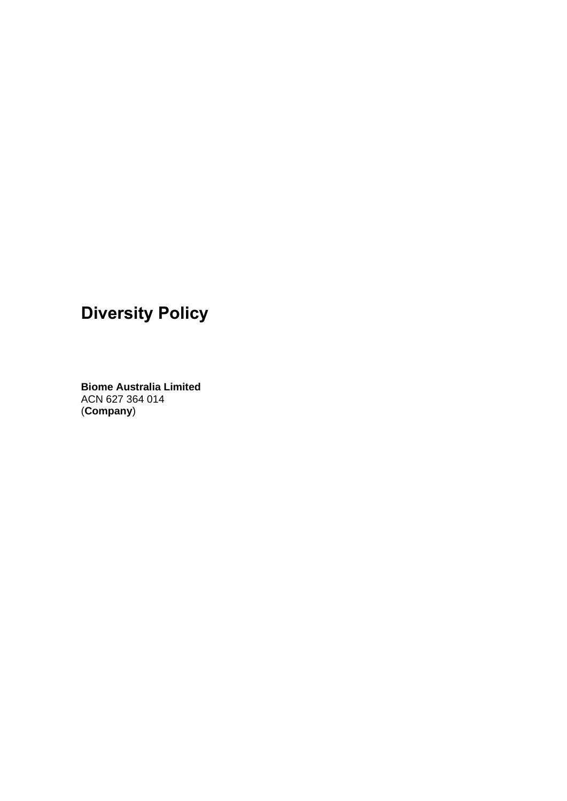# **Diversity Policy**

**Biome Australia Limited**  ACN 627 364 014 (**Company**)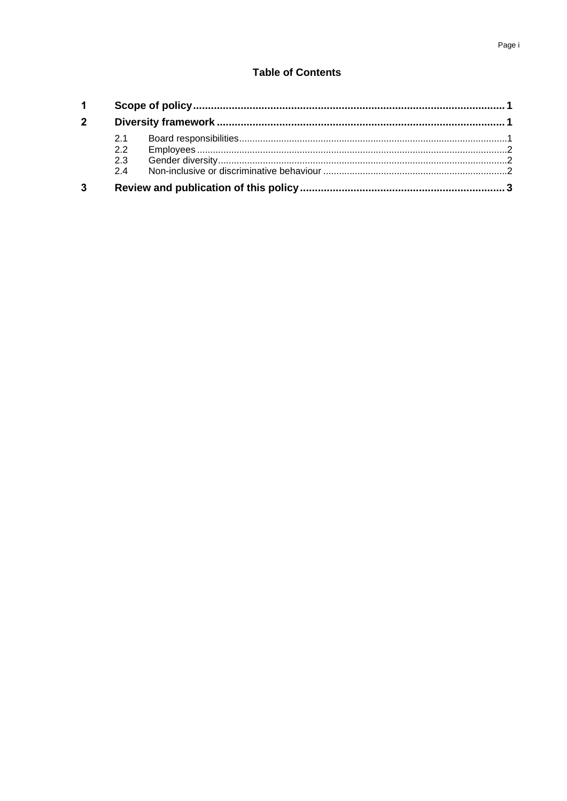# **Table of Contents**

| 1 <sup>1</sup> |     |  |  |
|----------------|-----|--|--|
| $2^{\circ}$    |     |  |  |
|                | 2.1 |  |  |
|                | 2.2 |  |  |
|                | 2.3 |  |  |
|                | 24  |  |  |
| $\mathbf{3}$   |     |  |  |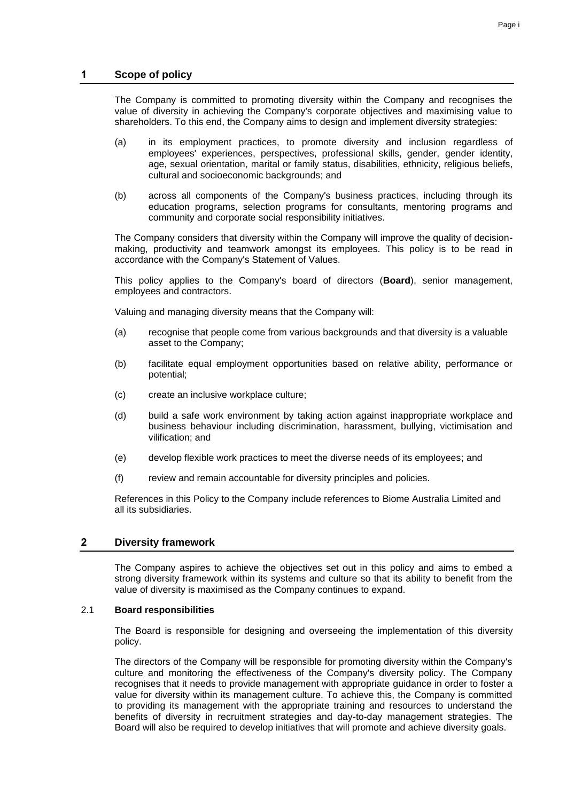The Company is committed to promoting diversity within the Company and recognises the value of diversity in achieving the Company's corporate objectives and maximising value to shareholders. To this end, the Company aims to design and implement diversity strategies:

- (a) in its employment practices, to promote diversity and inclusion regardless of employees' experiences, perspectives, professional skills, gender, gender identity, age, sexual orientation, marital or family status, disabilities, ethnicity, religious beliefs, cultural and socioeconomic backgrounds; and
- (b) across all components of the Company's business practices, including through its education programs, selection programs for consultants, mentoring programs and community and corporate social responsibility initiatives.

The Company considers that diversity within the Company will improve the quality of decisionmaking, productivity and teamwork amongst its employees. This policy is to be read in accordance with the Company's Statement of Values.

This policy applies to the Company's board of directors (**Board**), senior management, employees and contractors.

Valuing and managing diversity means that the Company will:

- (a) recognise that people come from various backgrounds and that diversity is a valuable asset to the Company;
- (b) facilitate equal employment opportunities based on relative ability, performance or potential;
- (c) create an inclusive workplace culture;
- (d) build a safe work environment by taking action against inappropriate workplace and business behaviour including discrimination, harassment, bullying, victimisation and vilification; and
- (e) develop flexible work practices to meet the diverse needs of its employees; and
- (f) review and remain accountable for diversity principles and policies.

References in this Policy to the Company include references to Biome Australia Limited and all its subsidiaries.

# **2 Diversity framework**

The Company aspires to achieve the objectives set out in this policy and aims to embed a strong diversity framework within its systems and culture so that its ability to benefit from the value of diversity is maximised as the Company continues to expand.

#### 2.1 **Board responsibilities**

The Board is responsible for designing and overseeing the implementation of this diversity policy.

The directors of the Company will be responsible for promoting diversity within the Company's culture and monitoring the effectiveness of the Company's diversity policy. The Company recognises that it needs to provide management with appropriate guidance in order to foster a value for diversity within its management culture. To achieve this, the Company is committed to providing its management with the appropriate training and resources to understand the benefits of diversity in recruitment strategies and day-to-day management strategies. The Board will also be required to develop initiatives that will promote and achieve diversity goals.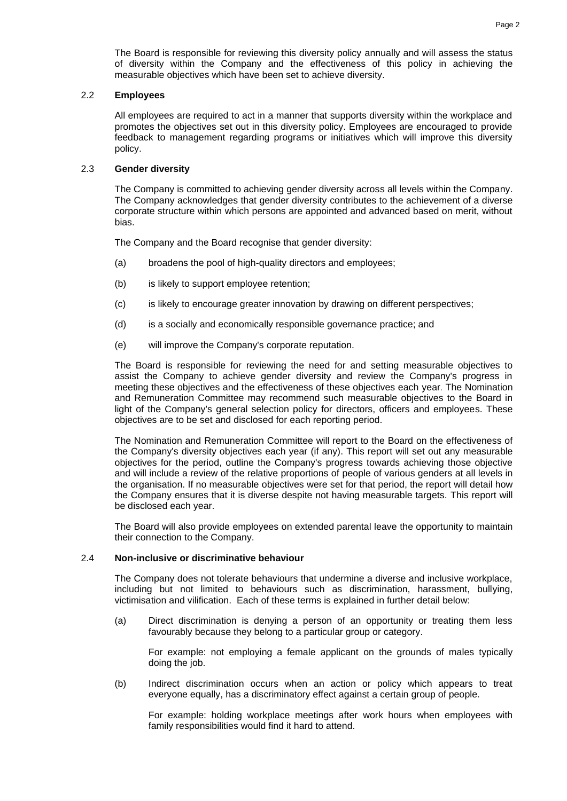The Board is responsible for reviewing this diversity policy annually and will assess the status of diversity within the Company and the effectiveness of this policy in achieving the measurable objectives which have been set to achieve diversity.

#### 2.2 **Employees**

All employees are required to act in a manner that supports diversity within the workplace and promotes the objectives set out in this diversity policy. Employees are encouraged to provide feedback to management regarding programs or initiatives which will improve this diversity policy.

### 2.3 **Gender diversity**

The Company is committed to achieving gender diversity across all levels within the Company. The Company acknowledges that gender diversity contributes to the achievement of a diverse corporate structure within which persons are appointed and advanced based on merit, without bias.

The Company and the Board recognise that gender diversity:

- (a) broadens the pool of high-quality directors and employees;
- (b) is likely to support employee retention;
- (c) is likely to encourage greater innovation by drawing on different perspectives;
- (d) is a socially and economically responsible governance practice; and
- (e) will improve the Company's corporate reputation.

The Board is responsible for reviewing the need for and setting measurable objectives to assist the Company to achieve gender diversity and review the Company's progress in meeting these objectives and the effectiveness of these objectives each year. The Nomination and Remuneration Committee may recommend such measurable objectives to the Board in light of the Company's general selection policy for directors, officers and employees. These objectives are to be set and disclosed for each reporting period.

The Nomination and Remuneration Committee will report to the Board on the effectiveness of the Company's diversity objectives each year (if any). This report will set out any measurable objectives for the period, outline the Company's progress towards achieving those objective and will include a review of the relative proportions of people of various genders at all levels in the organisation. If no measurable objectives were set for that period, the report will detail how the Company ensures that it is diverse despite not having measurable targets. This report will be disclosed each year.

The Board will also provide employees on extended parental leave the opportunity to maintain their connection to the Company.

## 2.4 **Non-inclusive or discriminative behaviour**

The Company does not tolerate behaviours that undermine a diverse and inclusive workplace, including but not limited to behaviours such as discrimination, harassment, bullying, victimisation and vilification. Each of these terms is explained in further detail below:

(a) Direct discrimination is denying a person of an opportunity or treating them less favourably because they belong to a particular group or category.

For example: not employing a female applicant on the grounds of males typically doing the job.

(b) Indirect discrimination occurs when an action or policy which appears to treat everyone equally, has a discriminatory effect against a certain group of people.

For example: holding workplace meetings after work hours when employees with family responsibilities would find it hard to attend.